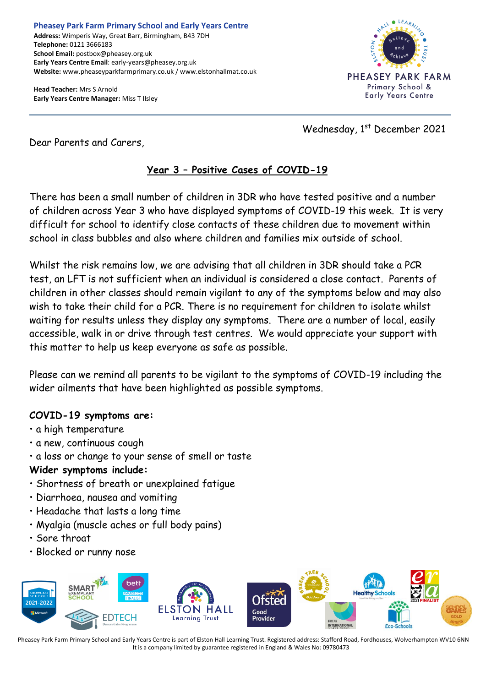**Head Teacher:** Mrs S Arnold **Early Years Centre Manager:** Miss T Ilsley



Wednesday, 1st December 2021

Dear Parents and Carers,

## **Year 3 – Positive Cases of COVID-19**

There has been a small number of children in 3DR who have tested positive and a number of children across Year 3 who have displayed symptoms of COVID-19 this week. It is very difficult for school to identify close contacts of these children due to movement within school in class bubbles and also where children and families mix outside of school.

Whilst the risk remains low, we are advising that all children in 3DR should take a PCR test, an LFT is not sufficient when an individual is considered a close contact. Parents of children in other classes should remain vigilant to any of the symptoms below and may also wish to take their child for a PCR. There is no requirement for children to isolate whilst waiting for results unless they display any symptoms. There are a number of local, easily accessible, walk in or drive through test centres. We would appreciate your support with this matter to help us keep everyone as safe as possible.

Please can we remind all parents to be vigilant to the symptoms of COVID-19 including the wider ailments that have been highlighted as possible symptoms.

## **COVID-19 symptoms are:**

- a high temperature
- a new, continuous cough
- a loss or change to your sense of smell or taste

## **Wider symptoms include:**

- Shortness of breath or unexplained fatigue
- Diarrhoea, nausea and vomiting
- Headache that lasts a long time
- Myalgia (muscle aches or full body pains)
- Sore throat
- Blocked or runny nose



Pheasey Park Farm Primary School and Early Years Centre is part of Elston Hall Learning Trust. Registered address: Stafford Road, Fordhouses, Wolverhampton WV10 6NN It is a company limited by guarantee registered in England & Wales No: 09780473